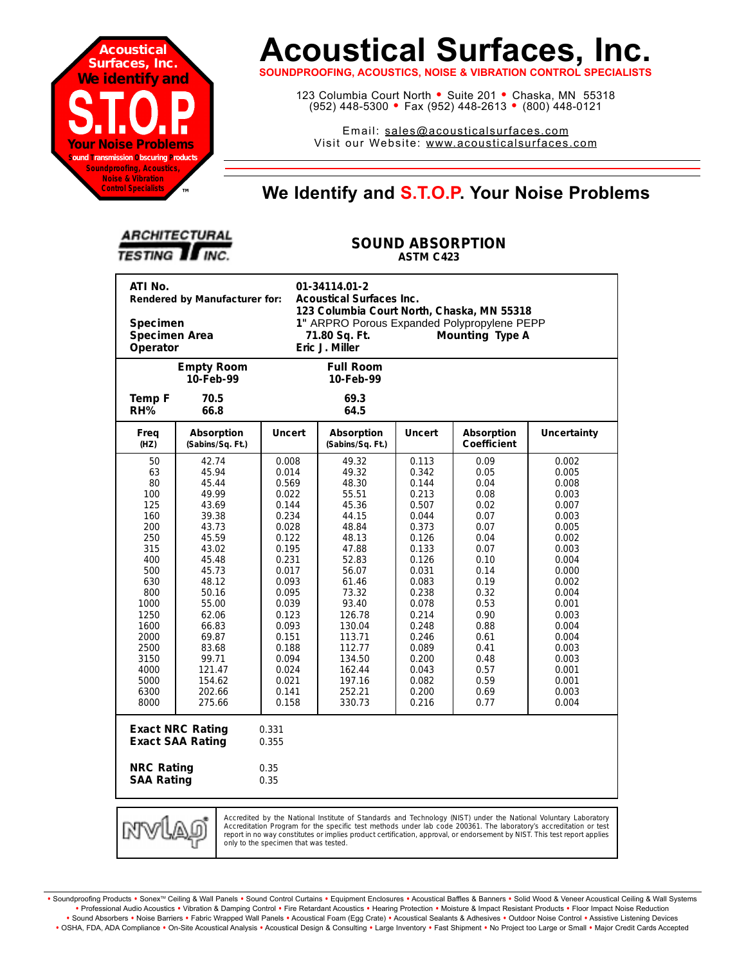

# **Acoustical Surfaces, Inc.**

**SOUNDPROOFING, ACOUSTICS, NOISE & VIBRATION CONTROL SPECIALISTS**

123 Columbia Court North · Suite 201 · Chaska, MN 55318 (952) 448-5300 <sup>=</sup> Fax (952) 448-2613 <sup>=</sup> (800) 448-0121

Email: sales@acousticalsurfaces.com Visit our Website: www.acousticalsurfaces.com

## **™ We Identify and S.T.O.P. Your Noise Problems**

| <b>ARCHITECTURAL</b>   |  |
|------------------------|--|
| <b>TESTING II INC.</b> |  |

#### **SOUND ABSORPTION ASTM C423**

**ATI No. 01-34114.01-2 Rendered by Manufacturer for: Acoustical Surfaces Inc. 123 Columbia Court North, Chaska, MN 55318 Specimen 1"** ARPRO Porous Expanded Polypropylene PEPP<br>**Specimen Area 1996 11.80 Sq. Ft. <b>Mounting** Type A **Specimen Area 71.80 Sq. Ft. Mounting Type A Operator Eric J. Miller Empty Room Full Room 10-Feb-99 10-Feb-99 Temp F 70.5 69.3 RH% 66.8 64.5 Freq Absorption Uncert Absorption Uncert Absorption Uncertainty (HZ) (Sabins/Sq. Ft.) (Sabins/Sq. Ft.) Coefficient** 50 42.74 0.008 49.32 0.113 0.09 0.002 63 45.94 0.014 49.32 0.342 0.05 0.005 80 45.44 0.569 48.30 0.144 0.04 0.008 100 49.99 0.022 55.51 0.213 0.08 0.003 125 43.69 0.144 45.36 0.507 0.02 0.007 160 39.38 0.234 44.15 0.044 0.07 0.003 200 43.73 0.028 48.84 0.373 0.07 0.005 250 45.59 0.122 48.13 0.126 0.04 0.002 315 43.02 0.195 47.88 0.133 0.07 0.003 400 45.48 0.231 52.83 0.126 0.10 0.004 500 45.73 0.017 56.07 0.031 0.14 0.000 630 48.12 0.093 61.46 0.083 0.19 0.002 800 50.16 0.095 73.32 0.238 0.32 0.004 1000 55.00 0.039 93.40 0.078 0.53 0.001 1250 62.06 0.123 126.78 0.214 0.90 0.003 1600 66.83 0.093 130.04 0.248 0.88 0.004 2000 69.87 0.151 113.71 0.246 0.61 0.004 2500 83.68 0.188 112.77 0.089 0.41 0.003 3150 99.71 0.094 134.50 0.200 0.48 0.003 4000 121.47 0.024 162.44 0.043 0.57 0.001 5000 154.62 0.021 197.16 0.082 0.59 0.001 6300 202.66 0.141 252.21 0.200 0.69 0.003 8000 275.66 0.158 330.73 0.216 0.77 0.004 **Exact NRC Rating** 0.331 **Exact SAA Rating** 0.355 **NRC Rating** 0.35 **SAA Rating** 0.35



Accredited by the National Institute of Standards and Technology (NIST) under the National Voluntary Laboratory Accreditation Program for the specific test methods under lab code 200361. The laboratory's accreditation or test report in no way constitutes or implies product certification, approval, or endorsement by NIST. This test report applies only to the specimen that was tested.

Soundproofing Products . Sonex<sup>TM</sup> Ceiling & Wall Panels . Sound Control Curtains . Equipment Enclosures . Acoustical Baffles & Banners . Solid Wood & Veneer Acoustical Ceiling & Wall Systems **•** Professional Audio Acoustics **•** Vibration & Damping Control **•** Fire Retardant Acoustics **•** Hearing Protection **•** Moisture & Impact Resistant Products **•** Floor Impact Noise Reduction · Sound Absorbers · Noise Barriers · Fabric Wrapped Wall Panels · Acoustical Foam (Egg Crate) · Acoustical Sealants & Adhesives · Outdoor Noise Control · Assistive Listening Devices . OSHA, FDA, ADA Compliance . On-Site Acoustical Analysis . Acoustical Design & Consulting . Large Inventory . Fast Shipment . No Project too Large or Small . Major Credit Cards Accepted